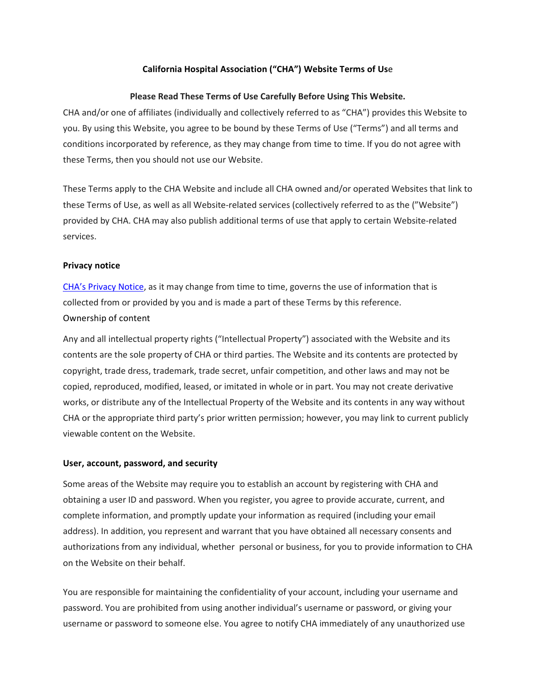# **California Hospital Association ("CHA") Website Terms of Us**e

## **Please Read These Terms of Use Carefully Before Using This Website.**

CHA and/or one of affiliates (individually and collectively referred to as "CHA") provides this Website to you. By using this Website, you agree to be bound by these Terms of Use ("Terms") and all terms and conditions incorporated by reference, as they may change from time to time. If you do not agree with these Terms, then you should not use our Website.

These Terms apply to the CHA Website and include all CHA owned and/or operated Websites that link to these Terms of Use, as well as all Website-related services (collectively referred to as the ("Website") provided by CHA. CHA may also publish additional terms of use that apply to certain Website-related services.

### **Privacy notice**

[CHA's Privacy Notice,](https://www.calhospital.org/general-information/privacy-policy) as it may change from time to time, governs the use of information that is collected from or provided by you and is made a part of these Terms by this reference. Ownership of content

Any and all intellectual property rights ("Intellectual Property") associated with the Website and its contents are the sole property of CHA or third parties. The Website and its contents are protected by copyright, trade dress, trademark, trade secret, unfair competition, and other laws and may not be copied, reproduced, modified, leased, or imitated in whole or in part. You may not create derivative works, or distribute any of the Intellectual Property of the Website and its contents in any way without CHA or the appropriate third party's prior written permission; however, you may link to current publicly viewable content on the Website.

#### **User, account, password, and security**

Some areas of the Website may require you to establish an account by registering with CHA and obtaining a user ID and password. When you register, you agree to provide accurate, current, and complete information, and promptly update your information as required (including your email address). In addition, you represent and warrant that you have obtained all necessary consents and authorizations from any individual, whether personal or business, for you to provide information to CHA on the Website on their behalf.

You are responsible for maintaining the confidentiality of your account, including your username and password. You are prohibited from using another individual's username or password, or giving your username or password to someone else. You agree to notify CHA immediately of any unauthorized use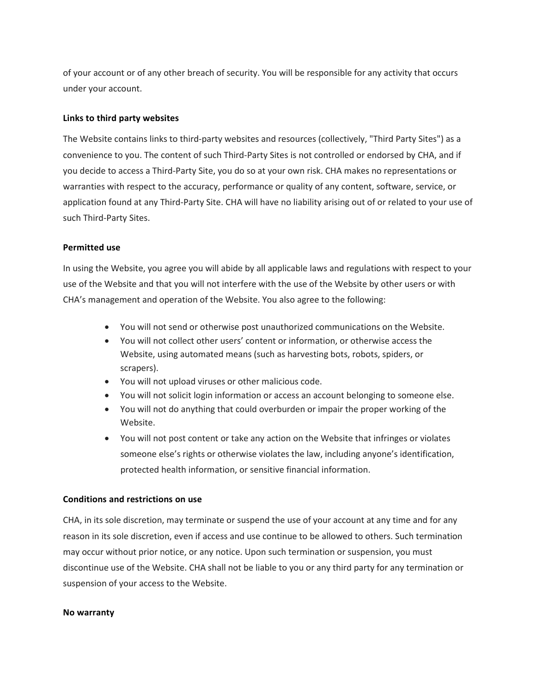of your account or of any other breach of security. You will be responsible for any activity that occurs under your account.

# **Links to third party websites**

The Website contains links to third-party websites and resources (collectively, "Third Party Sites") as a convenience to you. The content of such Third-Party Sites is not controlled or endorsed by CHA, and if you decide to access a Third-Party Site, you do so at your own risk. CHA makes no representations or warranties with respect to the accuracy, performance or quality of any content, software, service, or application found at any Third-Party Site. CHA will have no liability arising out of or related to your use of such Third-Party Sites.

# **Permitted use**

In using the Website, you agree you will abide by all applicable laws and regulations with respect to your use of the Website and that you will not interfere with the use of the Website by other users or with CHA's management and operation of the Website. You also agree to the following:

- You will not send or otherwise post unauthorized communications on the Website.
- You will not collect other users' content or information, or otherwise access the Website, using automated means (such as harvesting bots, robots, spiders, or scrapers).
- You will not upload viruses or other malicious code.
- You will not solicit login information or access an account belonging to someone else.
- You will not do anything that could overburden or impair the proper working of the Website.
- You will not post content or take any action on the Website that infringes or violates someone else's rights or otherwise violates the law, including anyone's identification, protected health information, or sensitive financial information.

# **Conditions and restrictions on use**

CHA, in its sole discretion, may terminate or suspend the use of your account at any time and for any reason in its sole discretion, even if access and use continue to be allowed to others. Such termination may occur without prior notice, or any notice. Upon such termination or suspension, you must discontinue use of the Website. CHA shall not be liable to you or any third party for any termination or suspension of your access to the Website.

### **No warranty**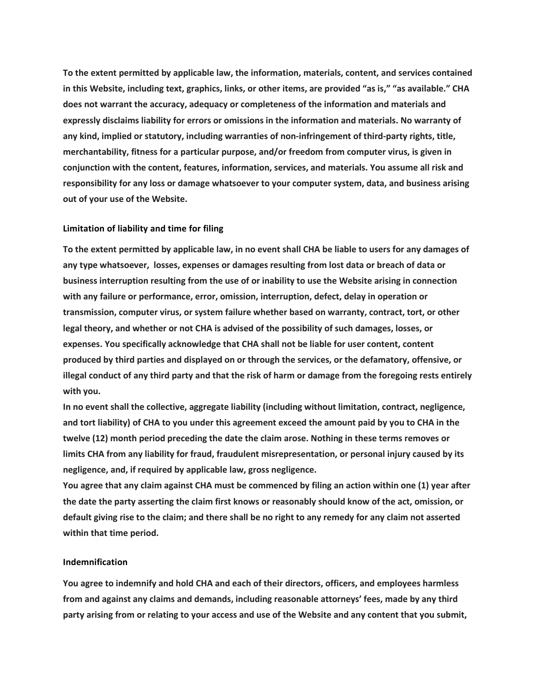**To the extent permitted by applicable law, the information, materials, content, and services contained** in this Website, including text, graphics, links, or other items, are provided "as is," "as available." CHA **does not warrant the accuracy, adequacy or completeness of the information and materials and expressly disclaims liability for errors or omissions in the information and materials. No warranty of any kind, implied or statutory, including warranties of non-infringement of third-party rights, title, merchantability, fitness for a particular purpose, and/or freedom from computer virus, is given in conjunction with the content, features, information, services, and materials. You assume all risk and responsibility for any loss or damage whatsoever to your computer system, data, and business arising out of your use of the Website.**

#### **Limitation of liability and time for filing**

To the extent permitted by applicable law, in no event shall CHA be liable to users for any damages of **any type whatsoever, losses, expenses or damages resulting from lost data or breach of data or business interruption resulting from the use of or inability to use the Website arising in connection with any failure or performance, error, omission, interruption, defect, delay in operation or transmission, computer virus, or system failure whether based on warranty, contract, tort, or other legal theory, and whether or not CHA is advised of the possibility of such damages, losses, or expenses. You specifically acknowledge that CHA shall not be liable for user content, content produced by third parties and displayed on or through the services, or the defamatory, offensive, or** illegal conduct of any third party and that the risk of harm or damage from the foregoing rests entirely **with you.**

**In no event shall the collective, aggregate liability (including without limitation, contract, negligence,** and tort liability) of CHA to you under this agreement exceed the amount paid by you to CHA in the **twelve (12) month period preceding the date the claim arose. Nothing in these terms removes or limits CHA from any liability for fraud, fraudulent misrepresentation, or personal injury caused by its negligence, and, if required by applicable law, gross negligence.**

You agree that any claim against CHA must be commenced by filing an action within one (1) year after the date the party asserting the claim first knows or reasonably should know of the act, omission, or default giving rise to the claim; and there shall be no right to any remedy for any claim not asserted **within that time period.**

## **Indemnification**

**You agree to indemnify and hold CHA and each of their directors, officers, and employees harmless from and against any claims and demands, including reasonable attorneys' fees, made by any third** party arising from or relating to your access and use of the Website and any content that you submit,